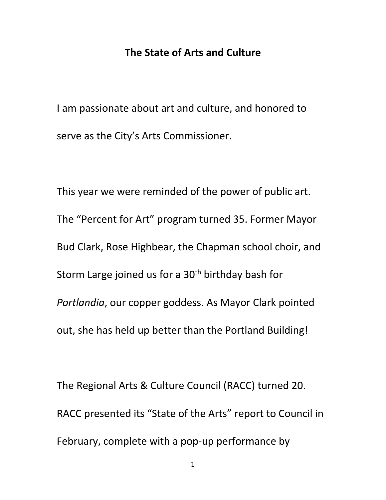## **The State of Arts and Culture**

I am passionate about art and culture, and honored to serve as the City's Arts Commissioner.

This year we were reminded of the power of public art. The "Percent for Art" program turned 35. Former Mayor Bud Clark, Rose Highbear, the Chapman school choir, and Storm Large joined us for a  $30<sup>th</sup>$  birthday bash for *Portlandia*, our copper goddess. As Mayor Clark pointed out, she has held up better than the Portland Building!

The Regional Arts & Culture Council (RACC) turned 20. RACC presented its "State of the Arts" report to Council in February, complete with a pop-up performance by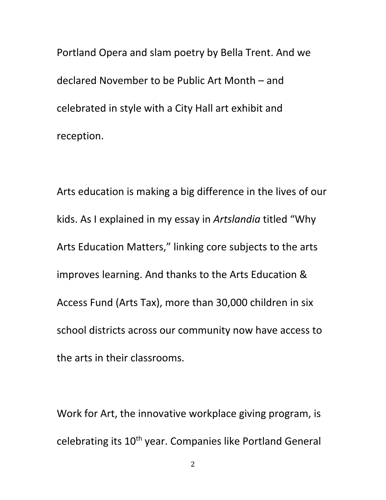Portland Opera and slam poetry by Bella Trent. And we declared November to be Public Art Month – and celebrated in style with a City Hall art exhibit and reception.

Arts education is making a big difference in the lives of our kids. As I explained in my essay in *Artslandia* titled "Why Arts Education Matters," linking core subjects to the arts improves learning. And thanks to the Arts Education & Access Fund (Arts Tax), more than 30,000 children in six school districts across our community now have access to the arts in their classrooms.

Work for Art, the innovative workplace giving program, is celebrating its 10<sup>th</sup> year. Companies like Portland General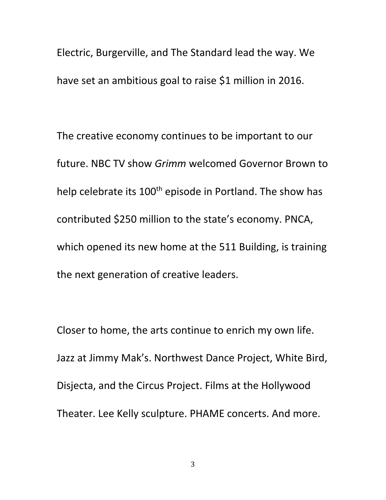Electric, Burgerville, and The Standard lead the way. We have set an ambitious goal to raise \$1 million in 2016.

The creative economy continues to be important to our future. NBC TV show *Grimm* welcomed Governor Brown to help celebrate its 100<sup>th</sup> episode in Portland. The show has contributed \$250 million to the state's economy. PNCA, which opened its new home at the 511 Building, is training the next generation of creative leaders.

Closer to home, the arts continue to enrich my own life. Jazz at Jimmy Mak's. Northwest Dance Project, White Bird, Disjecta, and the Circus Project. Films at the Hollywood Theater. Lee Kelly sculpture. PHAME concerts. And more.